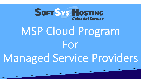

# MSP Cloud Program For

# Managed Service Providers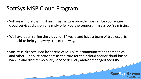#### SoftSys MSP Cloud Program

- SoftSys is more than just an infrastructure provider, we can be your entire cloud services division or simply offer you the support in areas you're missing.
- We have been selling the cloud for 14 years and have a team of true experts in the field to help you every step of the way.
- SoftSys is already used by dozens of MSPs, telecommunications companies, and other IT service providers as the core for their cloud and/or cloud-based backup and disaster recovery service delivery and/or managed security.

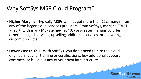#### Why SoftSys MSP Cloud Program?

- **Higher Margins** Typically MSPs will not get more than 15% margin from any of the larger cloud services providers. From SoftSys, margins START at 20%, with many MSPs achieving 40% or greater margins by offering other managed services, upselling additional services, or delivering custom products.
- **Lower Cost to You** With SoftSys, you don't need to hire the cloud engineers, pay for training or certifications, buy additional support contracts, or build out any of your own infrastructure.

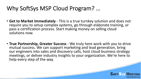#### Why SoftSys MSP Cloud Program? …

- **Get to Market Immediately** This is a true turnkey solution and does not require you to setup complex systems, go through elaborate training, or pass a certification process. Start making money on selling cloud solutions now.
- **True Partnership, Greater Success** We truly here work with you to drive mutual success. We can support marketing and lead generation, bring our engineers into sales and discovery calls, host cloud business strategy meetings, or deliver industry insights to your organization. We're here to help every step of the way.

**SOFT SYS HO** 

Celestial Service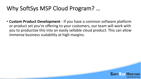#### Why SoftSys MSP Cloud Program? …

• **Custom Product Development** - If you have a common software platform or product set you're offering to your customers, our team will work with you to productize this into an easily sellable cloud product. This can allow immense business scalability at high margins.

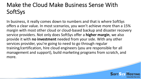### Make the Cloud Make Business Sense With SoftSys

In business, it really comes down to numbers and that is where SoftSys offers a clear value. In most scenarios, you won't achieve more than a 15% margin with most other cloud or cloud-based backup and disaster recovery service providers. Not only does SoftSys offer a **higher margin**, we also provide it with **no investment** needed from your side. With any other services provider, you're going to need to go through regular training/certification, hire cloud engineers (you are responsible for all management and support), build marketing programs from scratch, and more.

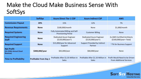#### Make the Cloud Make Business Sense With SoftSys

|                                                         | <b>SoftSys</b>               | <b>Azure Direct Tier 1 CSP</b>                                         | <b>Azure Indirect CSP</b>                             | <b>AWS</b>                                                        |
|---------------------------------------------------------|------------------------------|------------------------------------------------------------------------|-------------------------------------------------------|-------------------------------------------------------------------|
| <b>Commission Payout</b>                                | 20%                          | 15%                                                                    | 12%                                                   | 7%                                                                |
| <b>Revenue Requirements</b>                             | <b>None</b>                  | \$100,000/month                                                        | <b>None</b>                                           | $$1,000/m$ onth                                                   |
| <b>Required Systems</b>                                 | <b>None</b>                  | <b>Fully Automated Billing and Self-</b><br><b>Provisioning Portal</b> | <b>Customer Billing</b>                               | <b>None</b>                                                       |
| <b>Required Engineering</b><br><b>Staff</b>             | <b>None</b>                  | <b>Dedicated Azure Engineer</b><br>$($120,000/year+)$                  | <b>Dedicated Azure Engineer</b><br>$($120,000/year+)$ | 2x AWS Certified Architects<br>$($160,000/year+Total)$            |
| <b>Required Support</b>                                 | <b>None</b>                  | \$15,000/year for Advanced<br>Support                                  | <b>Support Provided by Indirect</b><br>Partner        | ~7% for Business Support                                          |
| <b>Net Profit</b><br>(On \$2Mn Annual Cloud<br>Revenue) | \$400,000/year               | \$65,000/year                                                          | \$60,000/year                                         | <b>None</b>                                                       |
| <b>Time to Profitability</b>                            | <b>Profitable From Day 1</b> | Profitable After \$1.35 Million in<br><b>Sales</b>                     | Profitable After \$1.33 Million in<br><b>Sales</b>    | Profit Would Need to be Driven<br><b>From Additional Services</b> |